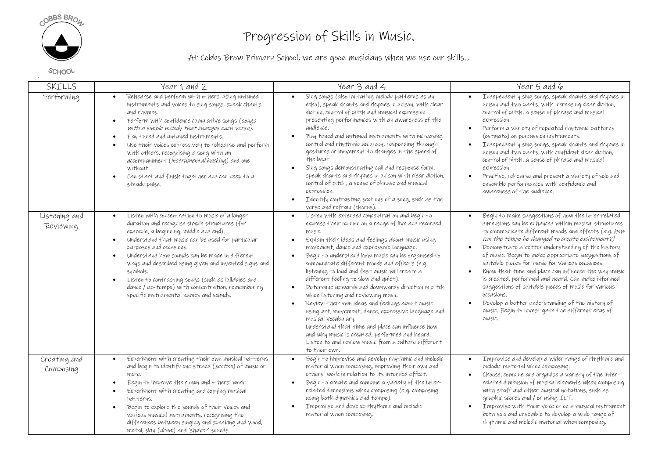

## Progression of Skills in Music.

At Cobbs Brow Primary School, we are good musicians when we use our skills…

SCHOOL

| SKILLS                     | Year 1 and 2                                                                                                                                                                                                                                                                                                                                                                                                                                                                                                                                                          | Year 3 and 4                                                                                                                                                                                                                                                                                                                                                                                                                                                                                                                                                                                                                                                                                                                                                                                                                                   | Year 5 and 6                                                                                                                                                                                                                                                                                                                                                                                                                                                                                                                                                                                                                                                                                                                                   |
|----------------------------|-----------------------------------------------------------------------------------------------------------------------------------------------------------------------------------------------------------------------------------------------------------------------------------------------------------------------------------------------------------------------------------------------------------------------------------------------------------------------------------------------------------------------------------------------------------------------|------------------------------------------------------------------------------------------------------------------------------------------------------------------------------------------------------------------------------------------------------------------------------------------------------------------------------------------------------------------------------------------------------------------------------------------------------------------------------------------------------------------------------------------------------------------------------------------------------------------------------------------------------------------------------------------------------------------------------------------------------------------------------------------------------------------------------------------------|------------------------------------------------------------------------------------------------------------------------------------------------------------------------------------------------------------------------------------------------------------------------------------------------------------------------------------------------------------------------------------------------------------------------------------------------------------------------------------------------------------------------------------------------------------------------------------------------------------------------------------------------------------------------------------------------------------------------------------------------|
| Performing                 | Rehearse and perform with others, using untuned<br>$\bullet$<br>instruments and voices to sing songs, speak chants<br>and rhymes.<br>Perform with confidence cumulative songs (songs<br>$\bullet$<br>with a simple melody that changes each verse).<br>Play tuned and untuned instruments.<br>$\bullet$<br>Use their voices expressively to rehearse and perform<br>$\bullet$<br>with others, recognising a song with an<br>accompaniment (instrumental backing) and one<br>without.<br>Can start and finish together and can keep to a<br>$\bullet$<br>steady pulse. | Sing songs (also imitating melody patterns as an<br>echo), speak chants and rhymes in unison, with clear<br>diction, control of pitch and musical expression<br>presenting performances with an awareness of the<br>audience.<br>Play tuned and untuned instruments with increasing<br>control and rhythmic accuracy, responding through<br>gestures or movement to changes in the speed of<br>the beat,<br>Sing songs demonstrating call and response form,<br>speak chants and rhymes in unison with clear diction,<br>control of pitch, a sense of phrase and musical<br>expression.<br>Identify contrasting sections of a song, such as the<br>$\bullet$<br>verse and refrain (chorus).                                                                                                                                                    | Independently sing songs, speak chants and rhymes in<br>$\bullet$<br>unison and two parts, with increasing clear diction,<br>control of pitch, a sense of phrase and musical<br>expression.<br>Perform a variety of repeated rhythmic patterns<br>$\bullet$<br>(ostinato) on percussion instruments.<br>Independently sing songs, speak chants and rhymes in<br>$\bullet$<br>unison and two parts, with confident clear diction,<br>control of pitch, a sense of phrase and musical<br>expression.<br>Practise, rehearse and present a variety of solo and<br>$\bullet$<br>ensemble performances with confidence and<br>awareness of the audience.                                                                                             |
| Listening and<br>Reviewing | Listen with concentration to music of a longer<br>$\bullet$<br>duration and recognise simple structures (for<br>example, a beginning, middle and end).<br>Understand that music can be used for particular<br>$\bullet$<br>purposes and occasions.<br>Understand how sounds can be made in different<br>$\bullet$<br>ways and described using given and invented signs and<br>symbols.<br>Listen to contrasting songs (such as lullabies and<br>$\bullet$<br>dance / up-tempo) with concentration, remembering<br>specific instrumental names and sounds.             | Listen with extended concentration and begin to<br>express their opinion on a range of live and recorded<br>music.<br>Explain their ideas and feelings about music using<br>$\bullet$<br>movement, dance and expressive language.<br>Begin to understand how music can be organised to<br>communicate different moods and effects (e.g.<br>listening to loud and fast music will create a<br>different feeling to slow and quiet).<br>Determine upwards and downwards direction in pitch<br>when listening and reviewing music.<br>Review their own ideas and feelings about music<br>using art, movement, dance, expressive language and<br>musical vocabulary.<br>Understand that time and place can influence how<br>and why music is created, performed and heard.<br>Listen to and review music from a culture different<br>to their own. | Begin to make suggestions of how the inter-related<br>$\bullet$<br>dimensions can be enhanced within musical structures<br>to communicate different moods and effects (e.g. how<br>can the tempo be changed to create excitement?)<br>Demonstrate a better understanding of the history<br>$\bullet$<br>of music. Begin to make appropriate suggestions of<br>suitable pieces for music for various occasions.<br>Know that time and place can influence the way music<br>$\bullet$<br>is created, performed and heard. Can make informed<br>suggestions of suitable pieces of music for various<br>occasions.<br>Develop a better understanding of the history of<br>$\bullet$<br>music. Begin to investigate the different eras of<br>music. |
| Creating and<br>Composing  | Experiment with creating their own musical patterns<br>$\bullet$<br>and begin to identify one strand (section) of music or<br>more.<br>Begin to improve their own and others' work.<br>Experiment with creating and copying musical<br>$\bullet$<br>patterns.<br>Begin to explore the sounds of their voices and<br>$\bullet$<br>various musical instruments, recognising the<br>differences between singing and speaking and wood,<br>metal, skin (drum) and 'shaker' sounds.                                                                                        | Begin to improvise and develop rhythmic and melodic<br>material when composing, improving their own and<br>others' work in relation to its intended effect.<br>Begin to create and combine a variety of the inter-<br>related dimensions when composing (e.g. composing<br>using both dynamics and tempo).<br>Improvise and develop rhythmic and melodic<br>material when composing.                                                                                                                                                                                                                                                                                                                                                                                                                                                           | Improvise and develop a wider range of rhythmic and<br>$\bullet$<br>melodic material when composing.<br>Choose, combine and organise a variety of the inter-<br>$\bullet$<br>related dimension of musical elements when composing<br>with staff and other musical notations, such as<br>graphic scores and / or using ICT.<br>Improvise with their voice or on a musical instrument<br>$\bullet$<br>both solo and ensemble to develop a wide range of<br>rhythmic and melodic material when composing.                                                                                                                                                                                                                                         |